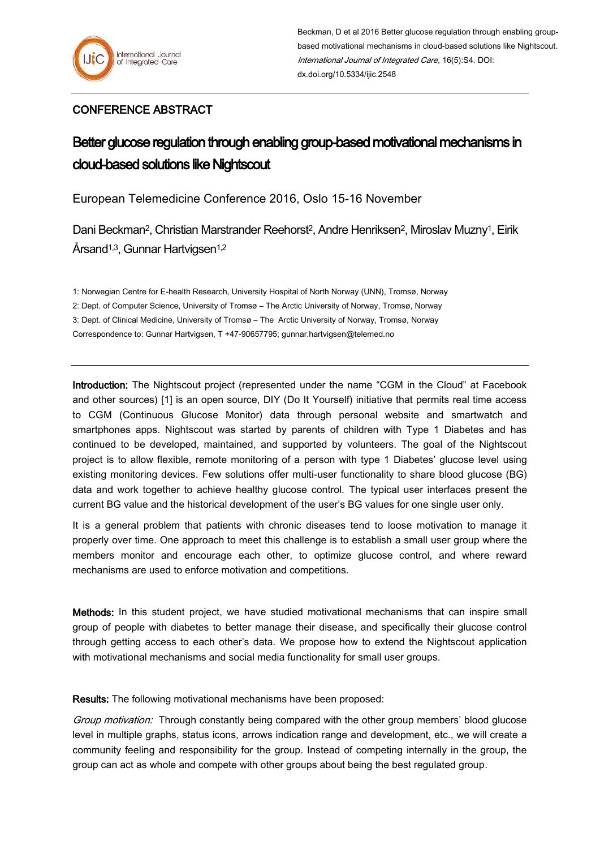## CONFERENCE ABSTRACT

## Better glucose regulation through enabling group-based motivational mechanisms in cloud-based solutions like Nightscout

European Telemedicine Conference 2016, Oslo 15-16 November

Dani Beckman<sup>2</sup>, Christian Marstrander Reehorst<sup>2</sup>, Andre Henriksen<sup>2</sup>, Miroslav Muzny<sup>1</sup>, Eirik Årsand<sup>1,3</sup>, Gunnar Hartvigsen<sup>1,2</sup>

1: Norwegian Centre for E-health Research, University Hospital of North Norway (UNN), Tromsø, Norway

2: Dept. of Computer Science, University of Tromsø – The Arctic University of Norway, Tromsø, Norway

3: Dept. of Clinical Medicine, University of Tromsø – The Arctic University of Norway, Tromsø, Norway

Correspondence to: Gunnar Hartvigsen, T +47-90657795; gunnar.hartvigsen@telemed.no

Introduction: The Nightscout project (represented under the name "CGM in the Cloud" at Facebook and other sources) [1] is an open source, DIY (Do It Yourself) initiative that permits real time access to CGM (Continuous Glucose Monitor) data through personal website and smartwatch and smartphones apps. Nightscout was started by parents of children with Type 1 Diabetes and has continued to be developed, maintained, and supported by volunteers. The goal of the Nightscout project is to allow flexible, remote monitoring of a person with type 1 Diabetes' glucose level using existing monitoring devices. Few solutions offer multi-user functionality to share blood glucose (BG) data and work together to achieve healthy glucose control. The typical user interfaces present the current BG value and the historical development of the user's BG values for one single user only.

It is a general problem that patients with chronic diseases tend to loose motivation to manage it properly over time. One approach to meet this challenge is to establish a small user group where the members monitor and encourage each other, to optimize glucose control, and where reward mechanisms are used to enforce motivation and competitions.

Methods: In this student project, we have studied motivational mechanisms that can inspire small group of people with diabetes to better manage their disease, and specifically their glucose control through getting access to each other's data. We propose how to extend the Nightscout application with motivational mechanisms and social media functionality for small user groups.

Results: The following motivational mechanisms have been proposed:

Group motivation: Through constantly being compared with the other group members' blood glucose level in multiple graphs, status icons, arrows indication range and development, etc., we will create a community feeling and responsibility for the group. Instead of competing internally in the group, the group can act as whole and compete with other groups about being the best regulated group.